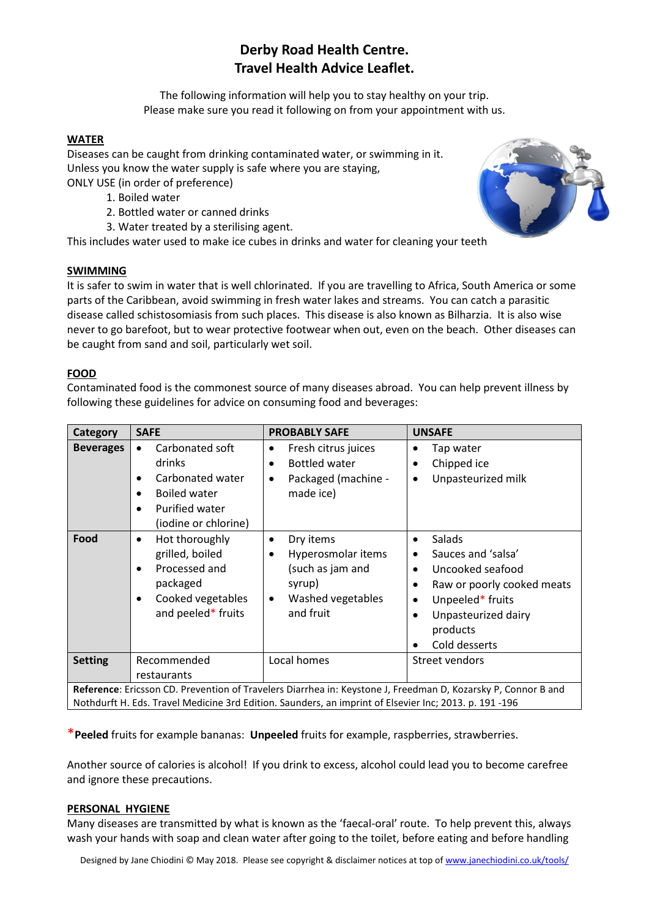# **Derby Road Health Centre. Travel Health Advice Leaflet.**

The following information will help you to stay healthy on your trip. Please make sure you read it following on from your appointment with us.

# **WATER**

Diseases can be caught from drinking contaminated water, or swimming in it. Unless you know the water supply is safe where you are staying, ONLY USE (in order of preference)

- 1. Boiled water
- 2. Bottled water or canned drinks
- 3. Water treated by a sterilising agent.

This includes water used to make ice cubes in drinks and water for cleaning your teeth

#### **SWIMMING**

It is safer to swim in water that is well chlorinated. If you are travelling to Africa, South America or some parts of the Caribbean, avoid swimming in fresh water lakes and streams. You can catch a parasitic disease called schistosomiasis from such places. This disease is also known as Bilharzia. It is also wise never to go barefoot, but to wear protective footwear when out, even on the beach. Other diseases can be caught from sand and soil, particularly wet soil.

## **FOOD**

Contaminated food is the commonest source of many diseases abroad. You can help prevent illness by following these guidelines for advice on consuming food and beverages:

| Category                                                                                                                                                                                                               | <b>SAFE</b>                                                                                                                                                        | <b>PROBABLY SAFE</b>                                                                                                                   | <b>UNSAFE</b>                                                                                                                                                                                                                             |  |  |
|------------------------------------------------------------------------------------------------------------------------------------------------------------------------------------------------------------------------|--------------------------------------------------------------------------------------------------------------------------------------------------------------------|----------------------------------------------------------------------------------------------------------------------------------------|-------------------------------------------------------------------------------------------------------------------------------------------------------------------------------------------------------------------------------------------|--|--|
| <b>Beverages</b>                                                                                                                                                                                                       | Carbonated soft<br>$\bullet$<br>drinks<br>Carbonated water<br>$\bullet$<br><b>Boiled water</b><br>$\bullet$<br>Purified water<br>$\bullet$<br>(iodine or chlorine) | Fresh citrus juices<br>$\bullet$<br><b>Bottled water</b><br>$\bullet$<br>Packaged (machine -<br>$\bullet$<br>made ice)                 | Tap water<br>٠<br>Chipped ice<br>$\bullet$<br>Unpasteurized milk<br>$\bullet$                                                                                                                                                             |  |  |
| Food                                                                                                                                                                                                                   | Hot thoroughly<br>$\bullet$<br>grilled, boiled<br>Processed and<br>$\bullet$<br>packaged<br>Cooked vegetables<br>$\bullet$<br>and peeled* fruits                   | Dry items<br>$\bullet$<br>Hyperosmolar items<br>$\bullet$<br>(such as jam and<br>syrup)<br>Washed vegetables<br>$\bullet$<br>and fruit | Salads<br>$\bullet$<br>Sauces and 'salsa'<br>٠<br>Uncooked seafood<br>$\bullet$<br>Raw or poorly cooked meats<br>$\bullet$<br>Unpeeled* fruits<br>$\bullet$<br>Unpasteurized dairy<br>$\bullet$<br>products<br>Cold desserts<br>$\bullet$ |  |  |
| <b>Setting</b>                                                                                                                                                                                                         | Recommended<br>restaurants                                                                                                                                         | Local homes                                                                                                                            | Street vendors                                                                                                                                                                                                                            |  |  |
| Reference: Ericsson CD. Prevention of Travelers Diarrhea in: Keystone J, Freedman D, Kozarsky P, Connor B and<br>Nothdurft H. Eds. Travel Medicine 3rd Edition. Saunders, an imprint of Elsevier Inc; 2013. p. 191-196 |                                                                                                                                                                    |                                                                                                                                        |                                                                                                                                                                                                                                           |  |  |

\***Peeled** fruits for example bananas: **Unpeeled** fruits for example, raspberries, strawberries.

Another source of calories is alcohol! If you drink to excess, alcohol could lead you to become carefree and ignore these precautions.

#### **PERSONAL HYGIENE**

Many diseases are transmitted by what is known as the 'faecal-oral' route. To help prevent this, always wash your hands with soap and clean water after going to the toilet, before eating and before handling

Designed by Jane Chiodini © May 2018. Please see copyright & disclaimer notices at top o[f www.janechiodini.co.uk/tools/](http://www.janechiodini.co.uk/tools/)

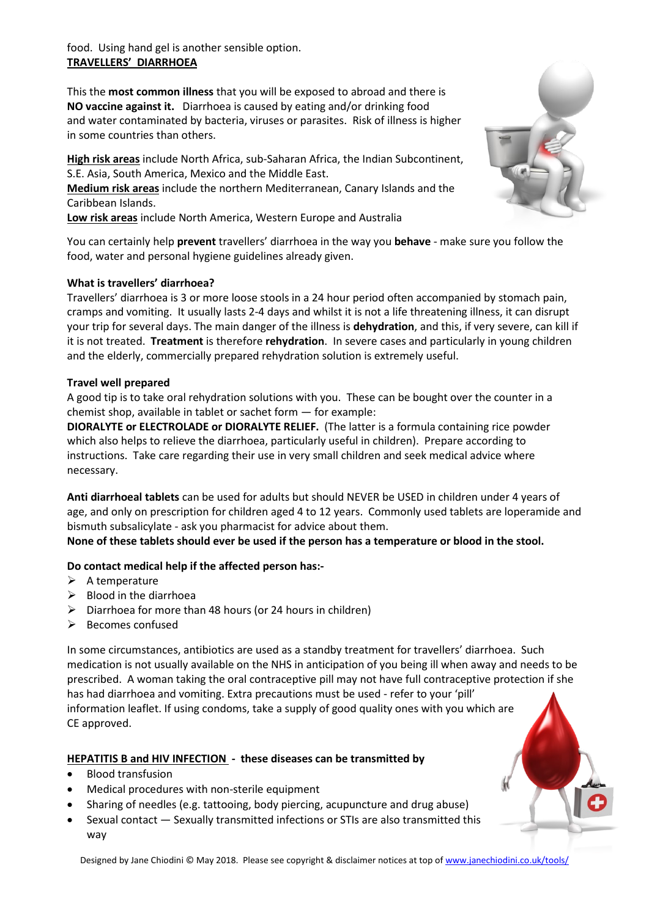food. Using hand gel is another sensible option. **TRAVELLERS' DIARRHOEA**

This the **most common illness** that you will be exposed to abroad and there is **NO vaccine against it.** Diarrhoea is caused by eating and/or drinking food and water contaminated by bacteria, viruses or parasites. Risk of illness is higher in some countries than others.

**High risk areas** include North Africa, sub-Saharan Africa, the Indian Subcontinent, S.E. Asia, South America, Mexico and the Middle East. **Medium risk areas** include the northern Mediterranean, Canary Islands and the Caribbean Islands.

**Low risk areas** include North America, Western Europe and Australia

You can certainly help **prevent** travellers' diarrhoea in the way you **behave** - make sure you follow the food, water and personal hygiene guidelines already given.

## **What is travellers' diarrhoea?**

Travellers' diarrhoea is 3 or more loose stools in a 24 hour period often accompanied by stomach pain, cramps and vomiting. It usually lasts 2-4 days and whilst it is not a life threatening illness, it can disrupt your trip for several days. The main danger of the illness is **dehydration**, and this, if very severe, can kill if it is not treated. **Treatment** is therefore **rehydration**. In severe cases and particularly in young children and the elderly, commercially prepared rehydration solution is extremely useful.

#### **Travel well prepared**

A good tip is to take oral rehydration solutions with you. These can be bought over the counter in a chemist shop, available in tablet or sachet form — for example:

**DIORALYTE or ELECTROLADE or DIORALYTE RELIEF.** (The latter is a formula containing rice powder which also helps to relieve the diarrhoea, particularly useful in children). Prepare according to instructions. Take care regarding their use in very small children and seek medical advice where necessary.

**Anti diarrhoeal tablets** can be used for adults but should NEVER be USED in children under 4 years of age, and only on prescription for children aged 4 to 12 years. Commonly used tablets are loperamide and bismuth subsalicylate - ask you pharmacist for advice about them.

**None of these tablets should ever be used if the person has a temperature or blood in the stool.** 

#### **Do contact medical help if the affected person has:-**

- $\triangleright$  A temperature
- $\triangleright$  Blood in the diarrhoea
- $\triangleright$  Diarrhoea for more than 48 hours (or 24 hours in children)
- $\triangleright$  Becomes confused

In some circumstances, antibiotics are used as a standby treatment for travellers' diarrhoea. Such medication is not usually available on the NHS in anticipation of you being ill when away and needs to be prescribed. A woman taking the oral contraceptive pill may not have full contraceptive protection if she has had diarrhoea and vomiting. Extra precautions must be used - refer to your 'pill' information leaflet. If using condoms, take a supply of good quality ones with you which are CE approved.

# **HEPATITIS B and HIV INFECTION - these diseases can be transmitted by**

- Blood transfusion
- Medical procedures with non-sterile equipment
- Sharing of needles (e.g. tattooing, body piercing, acupuncture and drug abuse)
- Sexual contact Sexually transmitted infections or STIs are also transmitted this way



Designed by Jane Chiodini © May 2018. Please see copyright & disclaimer notices at top o[f www.janechiodini.co.uk/tools/](http://www.janechiodini.co.uk/tools/)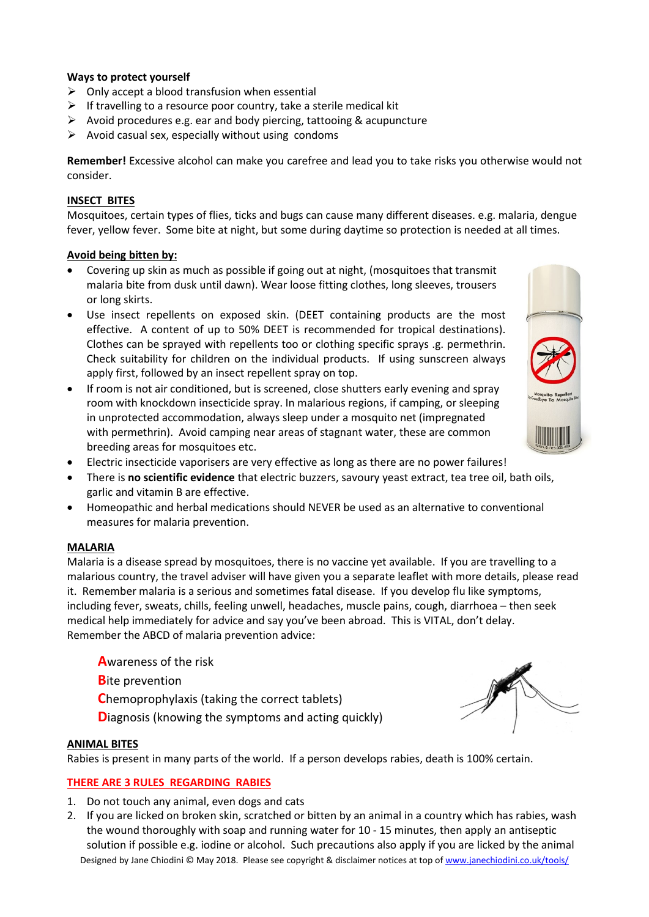## **Ways to protect yourself**

- $\triangleright$  Only accept a blood transfusion when essential
- $\triangleright$  If travelling to a resource poor country, take a sterile medical kit
- $\triangleright$  Avoid procedures e.g. ear and body piercing, tattooing & acupuncture
- $\triangleright$  Avoid casual sex, especially without using condoms

**Remember!** Excessive alcohol can make you carefree and lead you to take risks you otherwise would not consider.

#### **INSECT BITES**

Mosquitoes, certain types of flies, ticks and bugs can cause many different diseases. e.g. malaria, dengue fever, yellow fever. Some bite at night, but some during daytime so protection is needed at all times.

## **Avoid being bitten by:**

- Covering up skin as much as possible if going out at night, (mosquitoes that transmit malaria bite from dusk until dawn). Wear loose fitting clothes, long sleeves, trousers or long skirts.
- Use insect repellents on exposed skin. (DEET containing products are the most effective. A content of up to 50% DEET is recommended for tropical destinations). Clothes can be sprayed with repellents too or clothing specific sprays .g. permethrin. Check suitability for children on the individual products. If using sunscreen always apply first, followed by an insect repellent spray on top.
- If room is not air conditioned, but is screened, close shutters early evening and spray room with knockdown insecticide spray. In malarious regions, if camping, or sleeping in unprotected accommodation, always sleep under a mosquito net (impregnated with permethrin). Avoid camping near areas of stagnant water, these are common breeding areas for mosquitoes etc.
- Electric insecticide vaporisers are very effective as long as there are no power failures!
- There is **no scientific evidence** that electric buzzers, savoury yeast extract, tea tree oil, bath oils, garlic and vitamin B are effective.
- Homeopathic and herbal medications should NEVER be used as an alternative to conventional measures for malaria prevention.

#### **MALARIA**

Malaria is a disease spread by mosquitoes, there is no vaccine yet available. If you are travelling to a malarious country, the travel adviser will have given you a separate leaflet with more details, please read it. Remember malaria is a serious and sometimes fatal disease. If you develop flu like symptoms, including fever, sweats, chills, feeling unwell, headaches, muscle pains, cough, diarrhoea – then seek medical help immediately for advice and say you've been abroad. This is VITAL, don't delay. Remember the ABCD of malaria prevention advice:

**A**wareness of the risk

**B**ite prevention

**C**hemoprophylaxis (taking the correct tablets)

**Diagnosis (knowing the symptoms and acting quickly)** 

#### **ANIMAL BITES**

Rabies is present in many parts of the world. If a person develops rabies, death is 100% certain.

# **THERE ARE 3 RULES REGARDING RABIES**

- 1. Do not touch any animal, even dogs and cats
- Designed by Jane Chiodini © May 2018. Please see copyright & disclaimer notices at top o[f www.janechiodini.co.uk/tools/](http://www.janechiodini.co.uk/tools/) 2. If you are licked on broken skin, scratched or bitten by an animal in a country which has rabies, wash the wound thoroughly with soap and running water for 10 - 15 minutes, then apply an antiseptic solution if possible e.g. iodine or alcohol. Such precautions also apply if you are licked by the animal



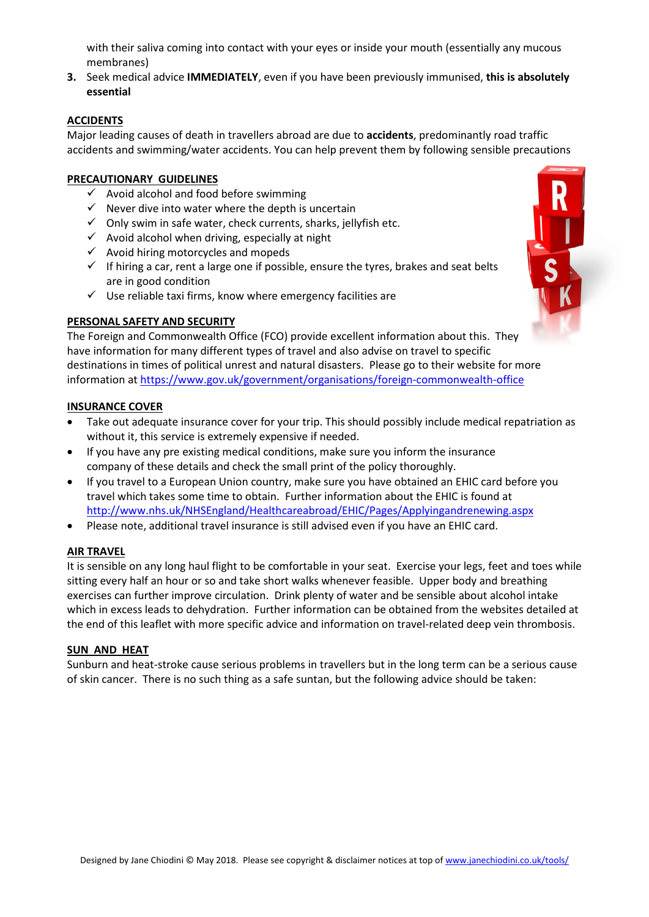with their saliva coming into contact with your eyes or inside your mouth (essentially any mucous membranes)

**3.** Seek medical advice **IMMEDIATELY**, even if you have been previously immunised, **this is absolutely essential**

# **ACCIDENTS**

Major leading causes of death in travellers abroad are due to **accidents**, predominantly road traffic accidents and swimming/water accidents. You can help prevent them by following sensible precautions

#### **PRECAUTIONARY GUIDELINES**

- $\checkmark$  Avoid alcohol and food before swimming
- $\checkmark$  Never dive into water where the depth is uncertain
- $\checkmark$  Only swim in safe water, check currents, sharks, jellyfish etc.
- $\checkmark$  Avoid alcohol when driving, especially at night
- $\checkmark$  Avoid hiring motorcycles and mopeds
- $\checkmark$  If hiring a car, rent a large one if possible, ensure the tyres, brakes and seat belts are in good condition
- $\checkmark$  Use reliable taxi firms, know where emergency facilities are

# **PERSONAL SAFETY AND SECURITY**

The Foreign and Commonwealth Office (FCO) provide excellent information about this. They have information for many different types of travel and also advise on travel to specific destinations in times of political unrest and natural disasters. Please go to their website for more information at <https://www.gov.uk/government/organisations/foreign-commonwealth-office>

#### **INSURANCE COVER**

- Take out adequate insurance cover for your trip. This should possibly include medical repatriation as without it, this service is extremely expensive if needed.
- If you have any pre existing medical conditions, make sure you inform the insurance company of these details and check the small print of the policy thoroughly.
- If you travel to a European Union country, make sure you have obtained an EHIC card before you travel which takes some time to obtain. Further information about the EHIC is found at <http://www.nhs.uk/NHSEngland/Healthcareabroad/EHIC/Pages/Applyingandrenewing.aspx>
- Please note, additional travel insurance is still advised even if you have an EHIC card.

#### **AIR TRAVEL**

It is sensible on any long haul flight to be comfortable in your seat. Exercise your legs, feet and toes while sitting every half an hour or so and take short walks whenever feasible. Upper body and breathing exercises can further improve circulation. Drink plenty of water and be sensible about alcohol intake which in excess leads to dehydration. Further information can be obtained from the websites detailed at the end of this leaflet with more specific advice and information on travel-related deep vein thrombosis.

#### **SUN AND HEAT**

Sunburn and heat-stroke cause serious problems in travellers but in the long term can be a serious cause of skin cancer. There is no such thing as a safe suntan, but the following advice should be taken:

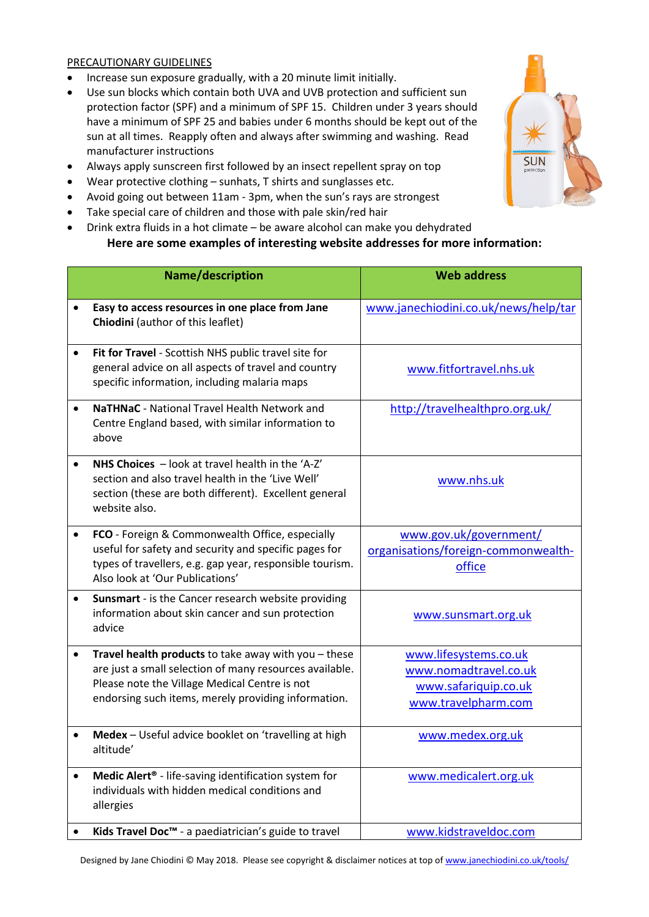## PRECAUTIONARY GUIDELINES

- Increase sun exposure gradually, with a 20 minute limit initially.
- Use sun blocks which contain both UVA and UVB protection and sufficient sun protection factor (SPF) and a minimum of SPF 15. Children under 3 years should have a minimum of SPF 25 and babies under 6 months should be kept out of the sun at all times. Reapply often and always after swimming and washing. Read manufacturer instructions
- Always apply sunscreen first followed by an insect repellent spray on top
- Wear protective clothing sunhats, T shirts and sunglasses etc.
- Avoid going out between 11am 3pm, when the sun's rays are strongest
- Take special care of children and those with pale skin/red hair
- Drink extra fluids in a hot climate be aware alcohol can make you dehydrated

# **Here are some examples of interesting website addresses for more information:**

|           | Name/description                                                                                                                                                                                                        | <b>Web address</b>                                                                            |
|-----------|-------------------------------------------------------------------------------------------------------------------------------------------------------------------------------------------------------------------------|-----------------------------------------------------------------------------------------------|
|           | Easy to access resources in one place from Jane<br>Chiodini (author of this leaflet)                                                                                                                                    | www.janechiodini.co.uk/news/help/tar                                                          |
|           | Fit for Travel - Scottish NHS public travel site for<br>general advice on all aspects of travel and country<br>specific information, including malaria maps                                                             | www.fitfortravel.nhs.uk                                                                       |
|           | <b>NaTHNaC</b> - National Travel Health Network and<br>Centre England based, with similar information to<br>above                                                                                                       | http://travelhealthpro.org.uk/                                                                |
|           | NHS Choices - look at travel health in the 'A-Z'<br>section and also travel health in the 'Live Well'<br>section (these are both different). Excellent general<br>website also.                                         | www.nhs.uk                                                                                    |
|           | FCO - Foreign & Commonwealth Office, especially<br>useful for safety and security and specific pages for<br>types of travellers, e.g. gap year, responsible tourism.<br>Also look at 'Our Publications'                 | www.gov.uk/government/<br>organisations/foreign-commonwealth-<br>office                       |
|           | Sunsmart - is the Cancer research website providing<br>information about skin cancer and sun protection<br>advice                                                                                                       | www.sunsmart.org.uk                                                                           |
| $\bullet$ | Travel health products to take away with you - these<br>are just a small selection of many resources available.<br>Please note the Village Medical Centre is not<br>endorsing such items, merely providing information. | www.lifesystems.co.uk<br>www.nomadtravel.co.uk<br>www.safariquip.co.uk<br>www.travelpharm.com |
|           | Medex - Useful advice booklet on 'travelling at high<br>altitude'                                                                                                                                                       | www.medex.org.uk                                                                              |
|           | Medic Alert <sup>®</sup> - life-saving identification system for<br>individuals with hidden medical conditions and<br>allergies                                                                                         | www.medicalert.org.uk                                                                         |
|           | Kids Travel Doc <sup>™</sup> - a paediatrician's guide to travel                                                                                                                                                        | www.kidstraveldoc.com                                                                         |



Designed by Jane Chiodini © May 2018. Please see copyright & disclaimer notices at top o[f www.janechiodini.co.uk/tools/](http://www.janechiodini.co.uk/tools/)